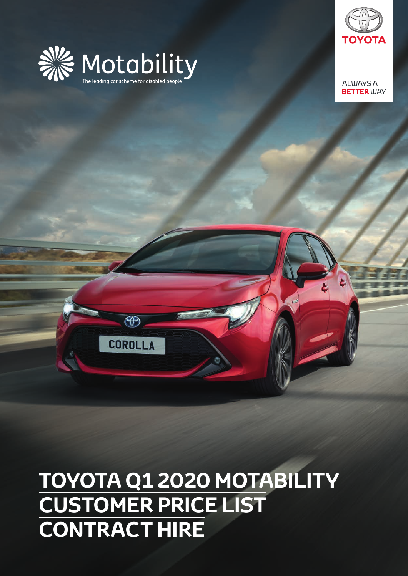

 $\circledast$ 

**COROLLA** 



**ALWAYS A BETTER WAY** 

## **TOYOTA Q1 2020 MOTABILITY CUSTOMER PRICE LIST CONTRACT HIRE**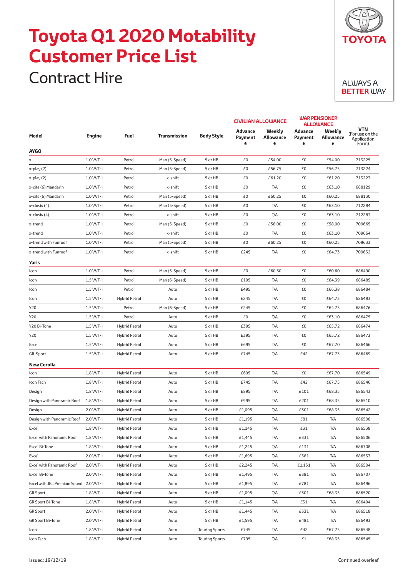## **Toyota Q1 2020 Motability Customer Price List**

Contract Hire



| Model                                  | <b>Engine</b> | <b>Fuel</b>          | <b>Transmission</b> | <b>Body Style</b>     | <b>CIVILIAN ALLOWANCE</b>      |                                 | <b>WAR PENSIONER</b><br><b>ALLOWANCE</b> |                          |                                                       |
|----------------------------------------|---------------|----------------------|---------------------|-----------------------|--------------------------------|---------------------------------|------------------------------------------|--------------------------|-------------------------------------------------------|
|                                        |               |                      |                     |                       | <b>Advance</b><br>Payment<br>£ | Weekly<br><b>Allowance</b><br>£ | Advance<br>Payment<br>£                  | Weekly<br>Allowance<br>£ | <b>VTN</b><br>(For use on the<br>Application<br>Form) |
| <b>AYGO</b>                            |               |                      |                     |                       |                                |                                 |                                          |                          |                                                       |
| х                                      | 1.0 VVT-i     | Petrol               | Man (5-Speed)       | 5 dr HB               | £0                             | £54.00                          | £0                                       | £54.00                   | 713225                                                |
| x-play (2)                             | 1.0 VVT-i     | Petrol               | Man (5-Speed)       | 5 dr HB               | £0                             | £56.75                          | £0                                       | £56.75                   | 713224                                                |
| x-play (2)                             | 1.0 VVT-i     | Petrol               | x-shift             | 5 dr HB               | £0                             | £61.20                          | £0                                       | £61.20                   | 713223                                                |
| x-cite (6) Mandarin                    | $1.0 VVT-i$   | Petrol               | x-shift             | 5 dr HB               | £0                             | T/A                             | £0                                       | £63.10                   | 688129                                                |
| x-cite (6) Mandarin                    | 1.0 VVT-i     | Petrol               | Man (5-Speed)       | 5 dr HB               | £0                             | £60.25                          | £0                                       | £60.25                   | 688130                                                |
| x-clusiv (4)                           | 1.0 VVT-i     | Petrol               | Man (5-Speed)       | 5 dr HB               | £0                             | T/A                             | £0                                       | £63.10                   | 712284                                                |
| x-clusiv (4)                           | 1.0 VVT-i     | Petrol               | x-shift             | 5 dr HB               | £0                             | T/A                             | £0                                       | £63.10                   | 712283                                                |
| x-trend                                | $1.0 VVT-i$   | Petrol               | Man (5-Speed)       | 5 dr HB               | £0                             | £58.00                          | £0                                       | £58.00                   | 709665                                                |
| x-trend                                | 1.0 VVT-i     | Petrol               | x-shift             | 5 dr HB               | £0                             | T/A                             | £0                                       | £63.10                   | 709664                                                |
| x-trend with Funroof                   | 1.0 VVT-i     | Petrol               | Man (5-Speed)       | 5 dr HB               | £0                             | £60.25                          | £0                                       | £60.25                   | 709633                                                |
| x-trend with Funroof                   | 1.0 VVT-i     | Petrol               | x-shift             | 5 dr HB               | £245                           | T/A                             | £0                                       | £64.73                   | 709632                                                |
| Yaris                                  |               |                      |                     |                       |                                |                                 |                                          |                          |                                                       |
| Icon                                   | 1.0 VVT-i     | Petrol               | Man (5-Speed)       | 5 dr HB               | £0                             | £60.60                          | £0                                       | £60.60                   | 686490                                                |
| Icon                                   | 1.5 VVT-i     | Petrol               | Man (6-Speed)       | 5 dr HB               | £195                           | T/A                             | £0                                       | £64.39                   | 686485                                                |
| Icon                                   | 1.5 VVT-i     | Petrol               | Auto                | 5 dr HB               | £495                           | T/A                             | £0                                       | £66.38                   | 686484                                                |
| Icon                                   | $1.5 VVT-i$   | Hybrid Petrol        | Auto                | 5 dr HB               | £245                           | T/A                             | £0                                       | £64.73                   | 686483                                                |
| Y20                                    | $1.5 VVT-i$   | Petrol               | Man (6-Speed)       | 5 dr HB               | £245                           | T/A                             | £0                                       | £64.73                   | 686476                                                |
| Y20                                    | 1.5 VVT-i     | Petrol               | Auto                | 5 dr HB               | £0                             | T/A                             | £0                                       | £63.10                   | 686475                                                |
| Y20 Bi-Tone                            | 1.5 VVT-i     | Hybrid Petrol        | Auto                | 5 dr HB               | £395                           | T/A                             | £0                                       | £65.72                   | 686474                                                |
| Y20                                    | $1.5 VVT-i$   | <b>Hybrid Petrol</b> | Auto                | 5 dr HB               | £395                           | T/A                             | £0                                       | £65.72                   | 686473                                                |
| Excel                                  | $1.5 VVT-i$   | <b>Hybrid Petrol</b> | Auto                | 5 dr HB               | £695                           | T/A                             | £0                                       | £67.70                   | 686466                                                |
| GR-Sport                               | $1.5 VVT-i$   | <b>Hybrid Petrol</b> | Auto                | 5 dr HB               | £745                           | T/A                             | £42                                      | £67.75                   | 686469                                                |
| <b>New Corolla</b>                     |               |                      |                     |                       |                                |                                 |                                          |                          |                                                       |
| Icon                                   | 1.8 VVT-i     | <b>Hybrid Petrol</b> | Auto                | 5 dr HB               | £695                           | T/A                             | £0                                       | £67.70                   | 686549                                                |
| Icon Tech                              | 1.8 VVT-i     | <b>Hybrid Petrol</b> | Auto                | 5 dr HB               | £745                           | T/A                             | £42                                      | £67.75                   | 686546                                                |
| Design                                 | 1.8 VVT-i     | <b>Hybrid Petrol</b> | Auto                | 5 dr HB               | £895                           | T/A                             | £101                                     | £68.35                   | 686543                                                |
| Design with Panoramic Roof             | 1.8 VVT-i     | <b>Hybrid Petrol</b> | Auto                | 5 dr HB               | £995                           | T/A                             | £201                                     | £68.35                   | 686510                                                |
| Design                                 | 2.0 VVT-i     | <b>Hybrid Petrol</b> | Auto                | 5 dr HB               | £1,095                         | T/A                             | £301                                     | £68.35                   | 686542                                                |
| Design with Panoramic Roof             | 2.0 VVT-i     | <b>Hybrid Petrol</b> | Auto                | 5 dr HB               | £1,195                         | T/A                             | £81                                      | T/A                      | 686508                                                |
| Excel                                  | 1.8 VVT-i     | Hybrid Petrol        | Auto                | 5 dr HB               | £1,145                         | T/A                             | £31                                      | T/A                      | 686538                                                |
| Excel with Panoramic Roof              | 1.8 VVT-i     | Hybrid Petrol        | Auto                | 5 dr HB               | £1,445                         | T/A                             | £331                                     | T/A                      | 686506                                                |
| Excel Bi-Tone                          | 1.8 VVT-i     | Hybrid Petrol        | Auto                | 5 dr HB               | £1,245                         | T/A                             | £131                                     | T/A                      | 686708                                                |
| Excel                                  | 2.0 VVT-i     | Hybrid Petrol        | Auto                | 5 dr HB               | £1,695                         | T/A                             | £581                                     | T/A                      | 686537                                                |
| Excel with Panoramic Roof              | 2.0 VVT-i     | Hybrid Petrol        | Auto                | 5 dr HB               | £2,245                         | T/A                             | £1,131                                   | T/A                      | 686504                                                |
| Excel Bi-Tone                          | 2.0 VVT-i     | Hybrid Petrol        | Auto                | 5 dr HB               | £1,495                         | T/A                             | £381                                     | T/A                      | 686707                                                |
| Excel with JBL Premium Sound 2.0 VVT-i |               | Hybrid Petrol        | Auto                | 5 dr HB               | £1,895                         | T/A                             | £781                                     | T/A                      | 686496                                                |
| <b>GR</b> Sport                        | 1.8 VVT-i     | Hybrid Petrol        | Auto                | 5 dr HB               | £1,095                         | T/A                             | £301                                     | £68.35                   | 686520                                                |
| GR Sport Bi-Tone                       | 1.8 VVT-i     | Hybrid Petrol        | Auto                | 5 dr HB               | £1,145                         | T/A                             | £31                                      | T/A                      | 686494                                                |
| <b>GR</b> Sport                        | 2.0 VVT-i     | Hybrid Petrol        | Auto                | 5 dr HB               | £1,445                         | T/A                             | £331                                     | T/A                      | 686518                                                |
| <b>GR Sport Bi-Tone</b>                | 2.0 VVT-i     | Hybrid Petrol        | Auto                | 5 dr HB               | £1,595                         | T/A                             | £481                                     | T/A                      | 686493                                                |
| Icon                                   | 1.8 VVT-i     | Hybrid Petrol        | Auto                | <b>Touring Sports</b> | £745                           | T/A                             | £42                                      | £67.75                   | 686548                                                |
| Icon Tech                              | 1.8 VVT-i     | Hybrid Petrol        | Auto                | <b>Touring Sports</b> | £795                           | T/A                             | £1                                       | £68.35                   | 686545                                                |